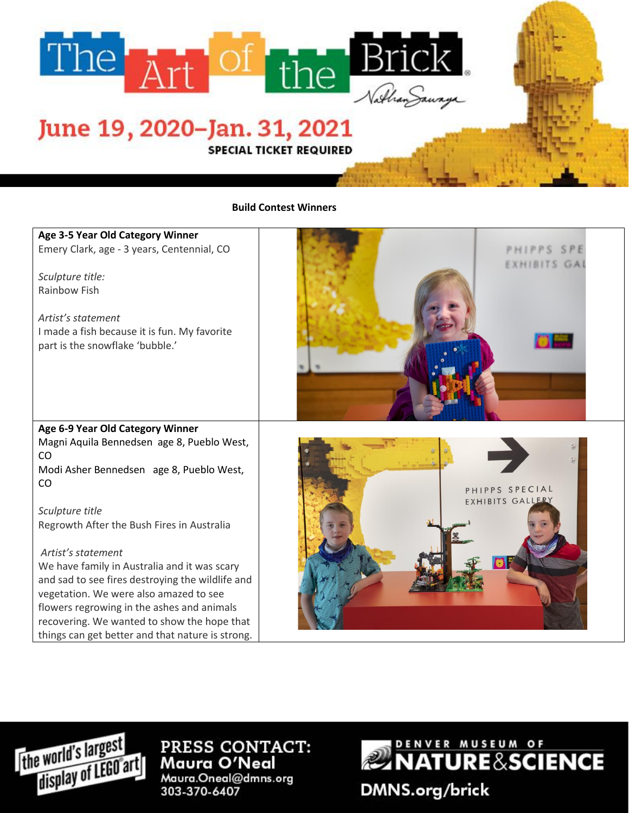

## June 19, 2020–Jan. 31, 2021

**SPECIAL TICKET REQUIRED** 

## **Build Contest Winners**

## **Age 3-5 Year Old Category Winner**

Emery Clark, age - 3 years, Centennial, CO

*Sculpture title:* Rainbow Fish

*Artist's statement* I made a fish because it is fun. My favorite part is the snowflake 'bubble.'



**Age 6-9 Year Old Category Winner** Magni Aquila Bennedsen age 8, Pueblo West, CO Modi Asher Bennedsen age 8, Pueblo West,

CO

*Sculpture title* Regrowth After the Bush Fires in Australia

## *Artist's statement*

We have family in Australia and it was scary and sad to see fires destroying the wildlife and vegetation. We were also amazed to see flowers regrowing in the ashes and animals recovering. We wanted to show the hope that things can get better and that nature is strong.





PRESS CONTACT: Maura O'Neal Maura.Oneal@dmns.org 303-370-6407



**DMNS.org/brick**